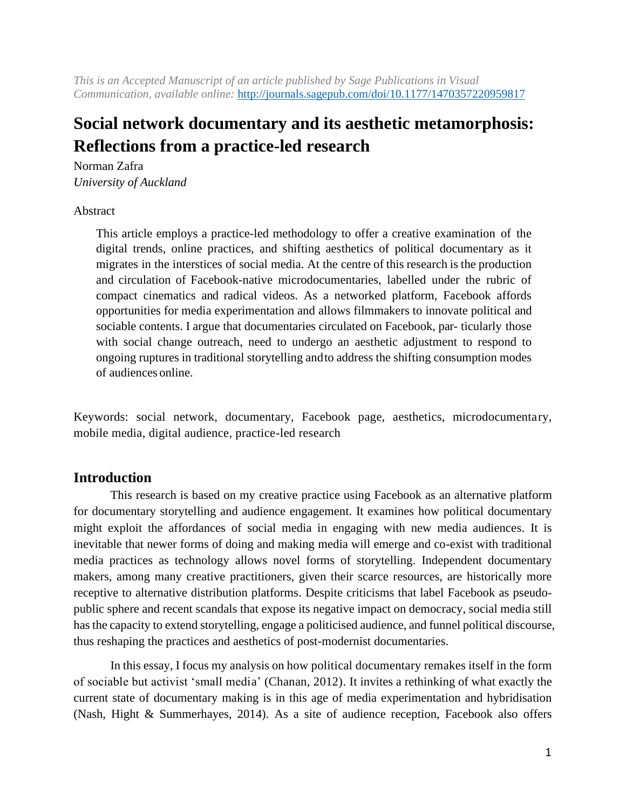*This is an Accepted Manuscript of an article published by Sage Publications in Visual Communication, available online:* <http://journals.sagepub.com/doi/10.1177/1470357220959817>

# **Social network documentary and its aesthetic metamorphosis: Reflections from a practice-led research**

Norman Zafra *University of Auckland*

# Abstract

This article employs a practice-led methodology to offer a creative examination of the digital trends, online practices, and shifting aesthetics of political documentary as it migrates in the interstices of social media. At the centre of this research is the production and circulation of Facebook-native microdocumentaries, labelled under the rubric of compact cinematics and radical videos. As a networked platform, Facebook affords opportunities for media experimentation and allows filmmakers to innovate political and sociable contents. I argue that documentaries circulated on Facebook, par- ticularly those with social change outreach, need to undergo an aesthetic adjustment to respond to ongoing ruptures in traditional storytelling andto address the shifting consumption modes of audiences online.

Keywords: social network, documentary, Facebook page, aesthetics, microdocumentary, mobile media, digital audience, practice-led research

# **Introduction**

This research is based on my creative practice using Facebook as an alternative platform for documentary storytelling and audience engagement. It examines how political documentary might exploit the affordances of social media in engaging with new media audiences. It is inevitable that newer forms of doing and making media will emerge and co-exist with traditional media practices as technology allows novel forms of storytelling. Independent documentary makers, among many creative practitioners, given their scarce resources, are historically more receptive to alternative distribution platforms. Despite criticisms that label Facebook as pseudopublic sphere and recent scandals that expose its negative impact on democracy, social media still has the capacity to extend storytelling, engage a politicised audience, and funnel political discourse, thus reshaping the practices and aesthetics of post-modernist documentaries.

In this essay, I focus my analysis on how political documentary remakes itself in the form of sociable but activist 'small media' (Chanan, 2012). It invites a rethinking of what exactly the current state of documentary making is in this age of media experimentation and hybridisation (Nash, Hight & Summerhayes, 2014). As a site of audience reception, Facebook also offers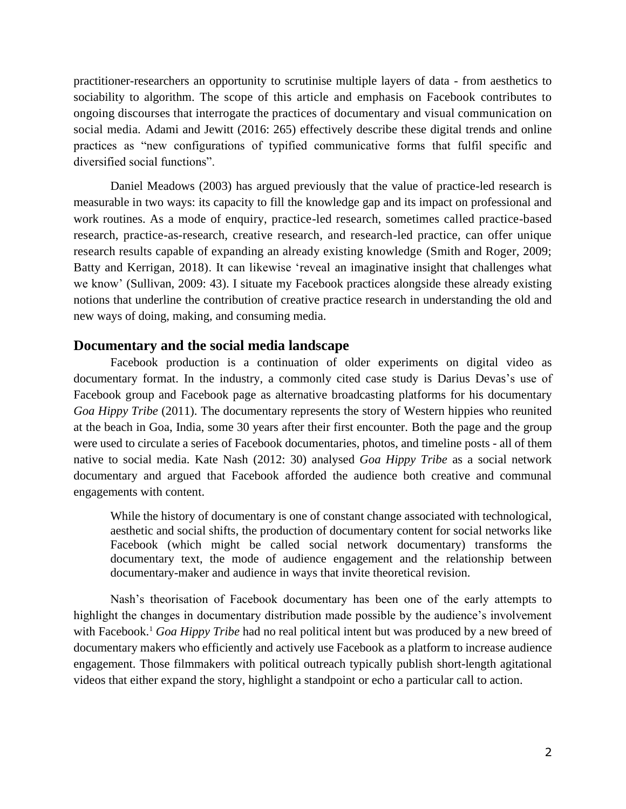practitioner-researchers an opportunity to scrutinise multiple layers of data - from aesthetics to sociability to algorithm. The scope of this article and emphasis on Facebook contributes to ongoing discourses that interrogate the practices of documentary and visual communication on social media. Adami and Jewitt (2016: 265) effectively describe these digital trends and online practices as "new configurations of typified communicative forms that fulfil specific and diversified social functions".

Daniel Meadows (2003) has argued previously that the value of practice-led research is measurable in two ways: its capacity to fill the knowledge gap and its impact on professional and work routines. As a mode of enquiry, practice-led research, sometimes called practice-based research, practice-as-research, creative research, and research-led practice, can offer unique research results capable of expanding an already existing knowledge (Smith and Roger, 2009; Batty and Kerrigan, 2018). It can likewise 'reveal an imaginative insight that challenges what we know' (Sullivan, 2009: 43). I situate my Facebook practices alongside these already existing notions that underline the contribution of creative practice research in understanding the old and new ways of doing, making, and consuming media.

# **Documentary and the social media landscape**

Facebook production is a continuation of older experiments on digital video as documentary format. In the industry, a commonly cited case study is Darius Devas's use of Facebook group and Facebook page as alternative broadcasting platforms for his documentary *Goa Hippy Tribe* (2011). The documentary represents the story of Western hippies who reunited at the beach in Goa, India, some 30 years after their first encounter. Both the page and the group were used to circulate a series of Facebook documentaries, photos, and timeline posts - all of them native to social media. Kate Nash (2012: 30) analysed *Goa Hippy Tribe* as a social network documentary and argued that Facebook afforded the audience both creative and communal engagements with content.

While the history of documentary is one of constant change associated with technological, aesthetic and social shifts, the production of documentary content for social networks like Facebook (which might be called social network documentary) transforms the documentary text, the mode of audience engagement and the relationship between documentary-maker and audience in ways that invite theoretical revision.

Nash's theorisation of Facebook documentary has been one of the early attempts to highlight the changes in documentary distribution made possible by the audience's involvement with Facebook.<sup>1</sup> *Goa Hippy Tribe* had no real political intent but was produced by a new breed of documentary makers who efficiently and actively use Facebook as a platform to increase audience engagement. Those filmmakers with political outreach typically publish short-length agitational videos that either expand the story, highlight a standpoint or echo a particular call to action.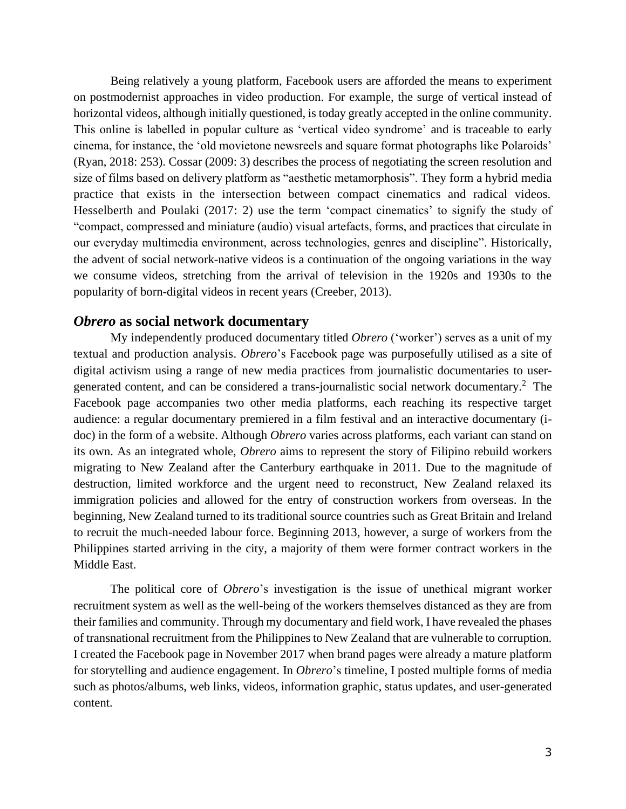Being relatively a young platform, Facebook users are afforded the means to experiment on postmodernist approaches in video production. For example, the surge of vertical instead of horizontal videos, although initially questioned, is today greatly accepted in the online community. This online is labelled in popular culture as 'vertical video syndrome' and is traceable to early cinema, for instance, the 'old movietone newsreels and square format photographs like Polaroids' (Ryan, 2018: 253). Cossar (2009: 3) describes the process of negotiating the screen resolution and size of films based on delivery platform as "aesthetic metamorphosis". They form a hybrid media practice that exists in the intersection between compact cinematics and radical videos. Hesselberth and Poulaki (2017: 2) use the term 'compact cinematics' to signify the study of "compact, compressed and miniature (audio) visual artefacts, forms, and practices that circulate in our everyday multimedia environment, across technologies, genres and discipline". Historically, the advent of social network-native videos is a continuation of the ongoing variations in the way we consume videos, stretching from the arrival of television in the 1920s and 1930s to the popularity of born-digital videos in recent years (Creeber, 2013).

#### *Obrero* **as social network documentary**

My independently produced documentary titled *Obrero* ('worker') serves as a unit of my textual and production analysis. *Obrero*'s Facebook page was purposefully utilised as a site of digital activism using a range of new media practices from journalistic documentaries to usergenerated content, and can be considered a trans-journalistic social network documentary.<sup>2</sup> The Facebook page accompanies two other media platforms, each reaching its respective target audience: a regular documentary premiered in a film festival and an interactive documentary (idoc) in the form of a website. Although *Obrero* varies across platforms, each variant can stand on its own. As an integrated whole, *Obrero* aims to represent the story of Filipino rebuild workers migrating to New Zealand after the Canterbury earthquake in 2011. Due to the magnitude of destruction, limited workforce and the urgent need to reconstruct, New Zealand relaxed its immigration policies and allowed for the entry of construction workers from overseas. In the beginning, New Zealand turned to its traditional source countries such as Great Britain and Ireland to recruit the much-needed labour force. Beginning 2013, however, a surge of workers from the Philippines started arriving in the city, a majority of them were former contract workers in the Middle East.

The political core of *Obrero*'s investigation is the issue of unethical migrant worker recruitment system as well as the well-being of the workers themselves distanced as they are from their families and community. Through my documentary and field work, I have revealed the phases of transnational recruitment from the Philippines to New Zealand that are vulnerable to corruption. I created the Facebook page in November 2017 when brand pages were already a mature platform for storytelling and audience engagement. In *Obrero*'s timeline, I posted multiple forms of media such as photos/albums, web links, videos, information graphic, status updates, and user-generated content.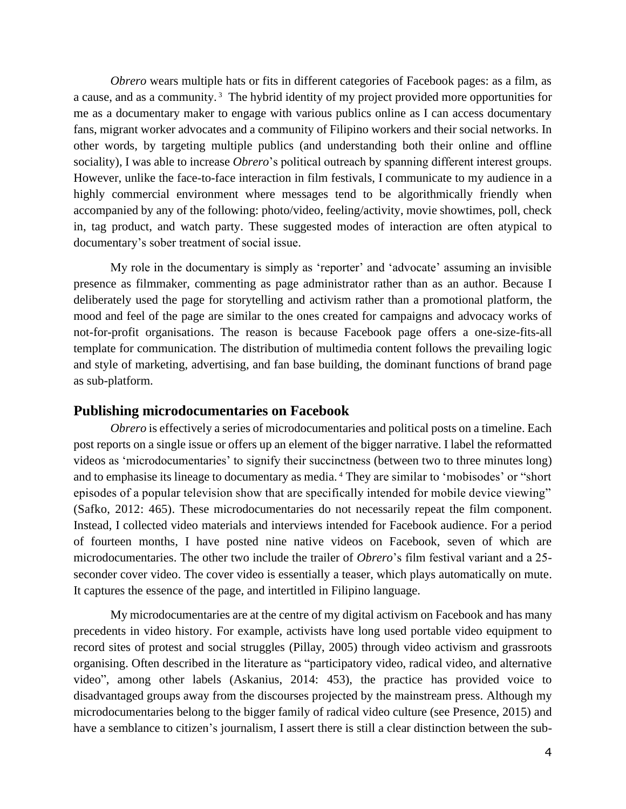*Obrero* wears multiple hats or fits in different categories of Facebook pages: as a film, as a cause, and as a community.<sup>3</sup> The hybrid identity of my project provided more opportunities for me as a documentary maker to engage with various publics online as I can access documentary fans, migrant worker advocates and a community of Filipino workers and their social networks. In other words, by targeting multiple publics (and understanding both their online and offline sociality), I was able to increase *Obrero*'s political outreach by spanning different interest groups. However, unlike the face-to-face interaction in film festivals, I communicate to my audience in a highly commercial environment where messages tend to be algorithmically friendly when accompanied by any of the following: photo/video, feeling/activity, movie showtimes, poll, check in, tag product, and watch party. These suggested modes of interaction are often atypical to documentary's sober treatment of social issue.

My role in the documentary is simply as 'reporter' and 'advocate' assuming an invisible presence as filmmaker, commenting as page administrator rather than as an author. Because I deliberately used the page for storytelling and activism rather than a promotional platform, the mood and feel of the page are similar to the ones created for campaigns and advocacy works of not-for-profit organisations. The reason is because Facebook page offers a one-size-fits-all template for communication. The distribution of multimedia content follows the prevailing logic and style of marketing, advertising, and fan base building, the dominant functions of brand page as sub-platform.

#### **Publishing microdocumentaries on Facebook**

*Obrero* is effectively a series of microdocumentaries and political posts on a timeline. Each post reports on a single issue or offers up an element of the bigger narrative. I label the reformatted videos as 'microdocumentaries' to signify their succinctness (between two to three minutes long) and to emphasise its lineage to documentary as media. <sup>4</sup> They are similar to 'mobisodes' or "short episodes of a popular television show that are specifically intended for mobile device viewing" (Safko, 2012: 465). These microdocumentaries do not necessarily repeat the film component. Instead, I collected video materials and interviews intended for Facebook audience. For a period of fourteen months, I have posted nine native videos on Facebook, seven of which are microdocumentaries. The other two include the trailer of *Obrero*'s film festival variant and a 25 seconder cover video. The cover video is essentially a teaser, which plays automatically on mute. It captures the essence of the page, and intertitled in Filipino language.

My microdocumentaries are at the centre of my digital activism on Facebook and has many precedents in video history. For example, activists have long used portable video equipment to record sites of protest and social struggles (Pillay, 2005) through video activism and grassroots organising. Often described in the literature as "participatory video, radical video, and alternative video", among other labels (Askanius, 2014: 453), the practice has provided voice to disadvantaged groups away from the discourses projected by the mainstream press. Although my microdocumentaries belong to the bigger family of radical video culture (see Presence, 2015) and have a semblance to citizen's journalism, I assert there is still a clear distinction between the sub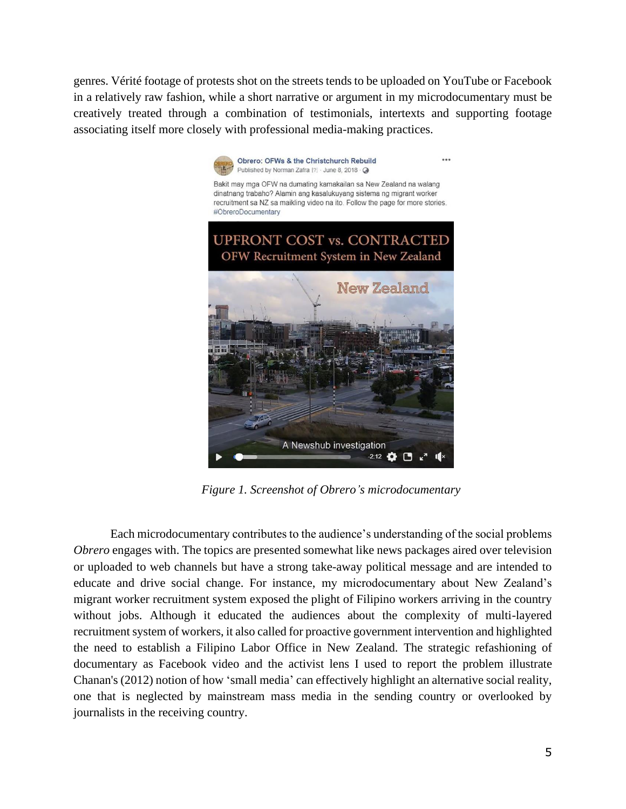genres. Vérité footage of protests shot on the streets tends to be uploaded on YouTube or Facebook in a relatively raw fashion, while a short narrative or argument in my microdocumentary must be creatively treated through a combination of testimonials, intertexts and supporting footage associating itself more closely with professional media-making practices.



*Figure 1. Screenshot of Obrero's microdocumentary*

Each microdocumentary contributes to the audience's understanding of the social problems *Obrero* engages with. The topics are presented somewhat like news packages aired over television or uploaded to web channels but have a strong take-away political message and are intended to educate and drive social change. For instance, my microdocumentary about New Zealand's migrant worker recruitment system exposed the plight of Filipino workers arriving in the country without jobs. Although it educated the audiences about the complexity of multi-layered recruitment system of workers, it also called for proactive government intervention and highlighted the need to establish a Filipino Labor Office in New Zealand. The strategic refashioning of documentary as Facebook video and the activist lens I used to report the problem illustrate Chanan's (2012) notion of how 'small media' can effectively highlight an alternative social reality, one that is neglected by mainstream mass media in the sending country or overlooked by journalists in the receiving country.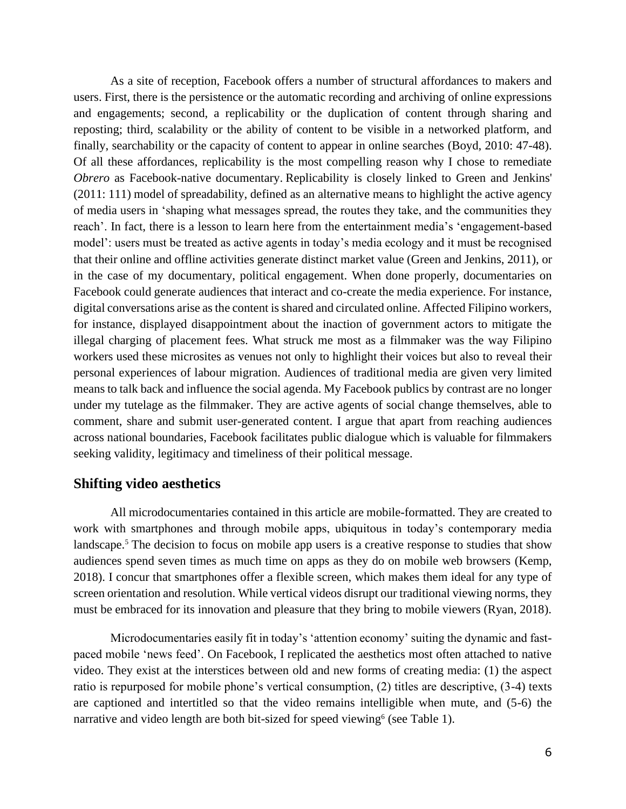As a site of reception, Facebook offers a number of structural affordances to makers and users. First, there is the persistence or the automatic recording and archiving of online expressions and engagements; second, a replicability or the duplication of content through sharing and reposting; third, scalability or the ability of content to be visible in a networked platform, and finally, searchability or the capacity of content to appear in online searches (Boyd, 2010: 47-48). Of all these affordances, replicability is the most compelling reason why I chose to remediate *Obrero* as Facebook-native documentary. Replicability is closely linked to Green and Jenkins' (2011: 111) model of spreadability, defined as an alternative means to highlight the active agency of media users in 'shaping what messages spread, the routes they take, and the communities they reach'. In fact, there is a lesson to learn here from the entertainment media's 'engagement-based model': users must be treated as active agents in today's media ecology and it must be recognised that their online and offline activities generate distinct market value (Green and Jenkins, 2011), or in the case of my documentary, political engagement. When done properly, documentaries on Facebook could generate audiences that interact and co-create the media experience. For instance, digital conversations arise as the content is shared and circulated online. Affected Filipino workers, for instance, displayed disappointment about the inaction of government actors to mitigate the illegal charging of placement fees. What struck me most as a filmmaker was the way Filipino workers used these microsites as venues not only to highlight their voices but also to reveal their personal experiences of labour migration. Audiences of traditional media are given very limited means to talk back and influence the social agenda. My Facebook publics by contrast are no longer under my tutelage as the filmmaker. They are active agents of social change themselves, able to comment, share and submit user-generated content. I argue that apart from reaching audiences across national boundaries, Facebook facilitates public dialogue which is valuable for filmmakers seeking validity, legitimacy and timeliness of their political message.

#### **Shifting video aesthetics**

All microdocumentaries contained in this article are mobile-formatted. They are created to work with smartphones and through mobile apps, ubiquitous in today's contemporary media landscape.<sup>5</sup> The decision to focus on mobile app users is a creative response to studies that show audiences spend seven times as much time on apps as they do on mobile web browsers (Kemp, 2018). I concur that smartphones offer a flexible screen, which makes them ideal for any type of screen orientation and resolution. While vertical videos disrupt our traditional viewing norms, they must be embraced for its innovation and pleasure that they bring to mobile viewers (Ryan, 2018).

Microdocumentaries easily fit in today's 'attention economy' suiting the dynamic and fastpaced mobile 'news feed'. On Facebook, I replicated the aesthetics most often attached to native video. They exist at the interstices between old and new forms of creating media: (1) the aspect ratio is repurposed for mobile phone's vertical consumption, (2) titles are descriptive, (3-4) texts are captioned and intertitled so that the video remains intelligible when mute, and (5-6) the narrative and video length are both bit-sized for speed viewing<sup>6</sup> (see Table 1).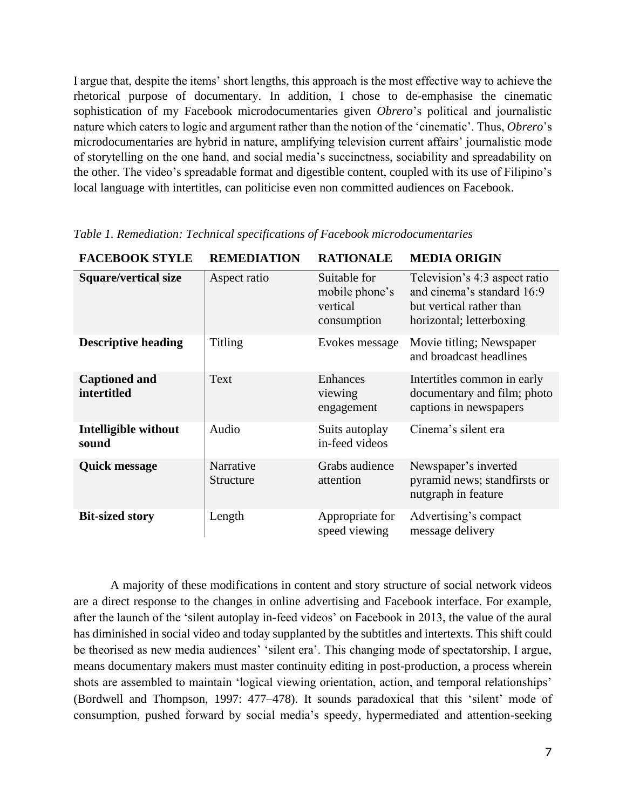I argue that, despite the items' short lengths, this approach is the most effective way to achieve the rhetorical purpose of documentary. In addition, I chose to de-emphasise the cinematic sophistication of my Facebook microdocumentaries given *Obrero*'s political and journalistic nature which caters to logic and argument rather than the notion of the 'cinematic'. Thus, *Obrero*'s microdocumentaries are hybrid in nature, amplifying television current affairs' journalistic mode of storytelling on the one hand, and social media's succinctness, sociability and spreadability on the other. The video's spreadable format and digestible content, coupled with its use of Filipino's local language with intertitles, can politicise even non committed audiences on Facebook.

| <b>FACEBOOK STYLE</b>               | <b>REMEDIATION</b>     | <b>RATIONALE</b>                                          | <b>MEDIA ORIGIN</b>                                                                                                 |
|-------------------------------------|------------------------|-----------------------------------------------------------|---------------------------------------------------------------------------------------------------------------------|
| <b>Square/vertical size</b>         | Aspect ratio           | Suitable for<br>mobile phone's<br>vertical<br>consumption | Television's 4:3 aspect ratio<br>and cinema's standard 16:9<br>but vertical rather than<br>horizontal; letterboxing |
| <b>Descriptive heading</b>          | <b>Titling</b>         | Evokes message                                            | Movie titling; Newspaper<br>and broadcast headlines                                                                 |
| <b>Captioned and</b><br>intertitled | Text                   | Enhances<br>viewing<br>engagement                         | Intertitles common in early<br>documentary and film; photo<br>captions in newspapers                                |
| Intelligible without<br>sound       | Audio                  | Suits autoplay<br>in-feed videos                          | Cinema's silent era                                                                                                 |
| <b>Quick message</b>                | Narrative<br>Structure | Grabs audience<br>attention                               | Newspaper's inverted<br>pyramid news; standfirsts or<br>nutgraph in feature                                         |
| <b>Bit-sized story</b>              | Length                 | Appropriate for<br>speed viewing                          | Advertising's compact<br>message delivery                                                                           |

*Table 1. Remediation: Technical specifications of Facebook microdocumentaries*

A majority of these modifications in content and story structure of social network videos are a direct response to the changes in online advertising and Facebook interface. For example, after the launch of the 'silent autoplay in-feed videos' on Facebook in 2013, the value of the aural has diminished in social video and today supplanted by the subtitles and intertexts. This shift could be theorised as new media audiences' 'silent era'. This changing mode of spectatorship, I argue, means documentary makers must master continuity editing in post-production, a process wherein shots are assembled to maintain 'logical viewing orientation, action, and temporal relationships' (Bordwell and Thompson, 1997: 477–478). It sounds paradoxical that this 'silent' mode of consumption, pushed forward by social media's speedy, hypermediated and attention-seeking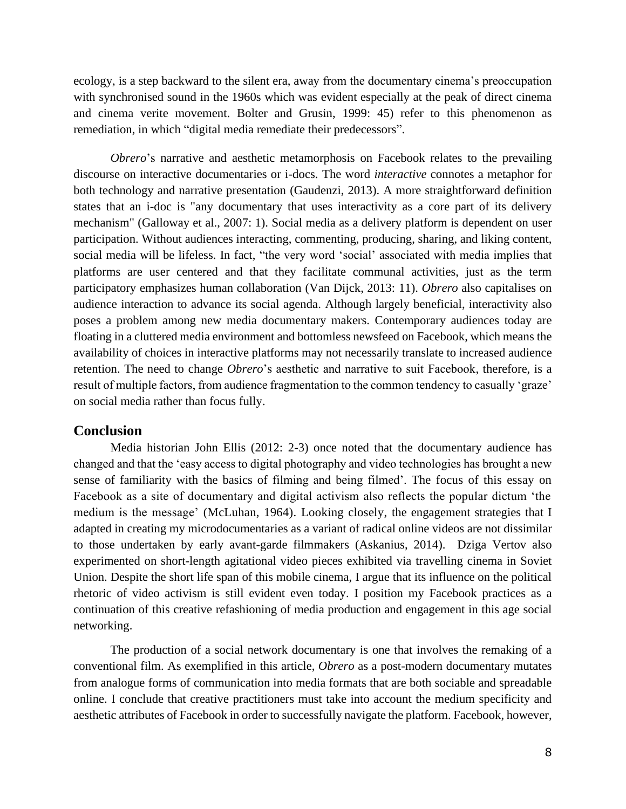ecology, is a step backward to the silent era, away from the documentary cinema's preoccupation with synchronised sound in the 1960s which was evident especially at the peak of direct cinema and cinema verite movement. Bolter and Grusin, 1999: 45) refer to this phenomenon as remediation, in which "digital media remediate their predecessors".

*Obrero*'s narrative and aesthetic metamorphosis on Facebook relates to the prevailing discourse on interactive documentaries or i-docs. The word *interactive* connotes a metaphor for both technology and narrative presentation (Gaudenzi, 2013). A more straightforward definition states that an i-doc is "any documentary that uses interactivity as a core part of its delivery mechanism" (Galloway et al., 2007: 1). Social media as a delivery platform is dependent on user participation. Without audiences interacting, commenting, producing, sharing, and liking content, social media will be lifeless. In fact, "the very word 'social' associated with media implies that platforms are user centered and that they facilitate communal activities, just as the term participatory emphasizes human collaboration (Van Dijck, 2013: 11). *Obrero* also capitalises on audience interaction to advance its social agenda. Although largely beneficial, interactivity also poses a problem among new media documentary makers. Contemporary audiences today are floating in a cluttered media environment and bottomless newsfeed on Facebook, which means the availability of choices in interactive platforms may not necessarily translate to increased audience retention. The need to change *Obrero*'s aesthetic and narrative to suit Facebook, therefore, is a result of multiple factors, from audience fragmentation to the common tendency to casually 'graze' on social media rather than focus fully.

### **Conclusion**

Media historian John Ellis (2012: 2-3) once noted that the documentary audience has changed and that the 'easy access to digital photography and video technologies has brought a new sense of familiarity with the basics of filming and being filmed'. The focus of this essay on Facebook as a site of documentary and digital activism also reflects the popular dictum 'the medium is the message' (McLuhan, 1964). Looking closely, the engagement strategies that I adapted in creating my microdocumentaries as a variant of radical online videos are not dissimilar to those undertaken by early avant-garde filmmakers (Askanius, 2014). Dziga Vertov also experimented on short-length agitational video pieces exhibited via travelling cinema in Soviet Union. Despite the short life span of this mobile cinema, I argue that its influence on the political rhetoric of video activism is still evident even today. I position my Facebook practices as a continuation of this creative refashioning of media production and engagement in this age social networking.

The production of a social network documentary is one that involves the remaking of a conventional film. As exemplified in this article, *Obrero* as a post-modern documentary mutates from analogue forms of communication into media formats that are both sociable and spreadable online. I conclude that creative practitioners must take into account the medium specificity and aesthetic attributes of Facebook in order to successfully navigate the platform. Facebook, however,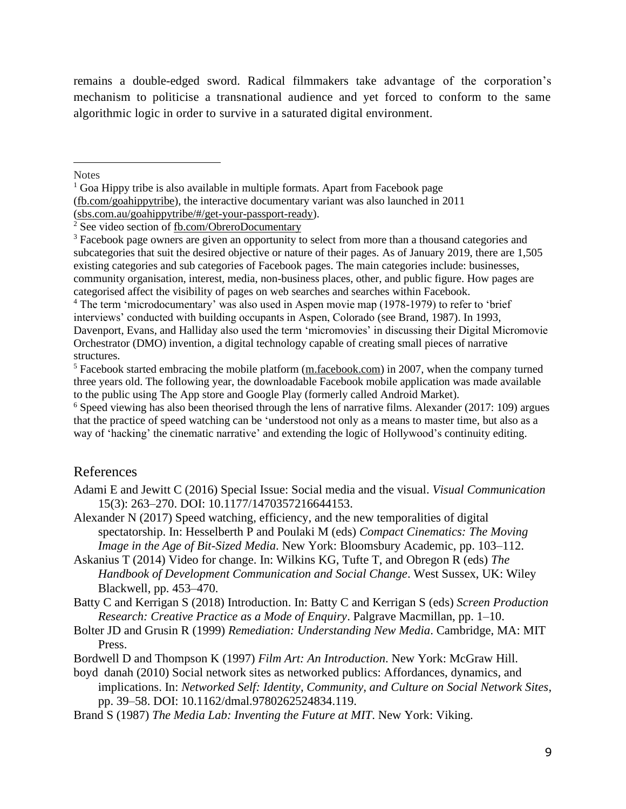remains a double-edged sword. Radical filmmakers take advantage of the corporation's mechanism to politicise a transnational audience and yet forced to conform to the same algorithmic logic in order to survive in a saturated digital environment.

**Notes** 

<sup>4</sup> The term 'microdocumentary' was also used in Aspen movie map (1978-1979) to refer to 'brief interviews' conducted with building occupants in Aspen, Colorado (see Brand, 1987). In 1993, Davenport, Evans, and Halliday also used the term 'micromovies' in discussing their Digital Micromovie Orchestrator (DMO) invention, a digital technology capable of creating small pieces of narrative structures.

 $6$  Speed viewing has also been theorised through the lens of narrative films. Alexander (2017: 109) argues that the practice of speed watching can be 'understood not only as a means to master time, but also as a way of 'hacking' the cinematic narrative' and extending the logic of Hollywood's continuity editing.

# References

- Adami E and Jewitt C (2016) Special Issue: Social media and the visual. *Visual Communication* 15(3): 263–270. DOI: 10.1177/1470357216644153.
- Alexander N (2017) Speed watching, efficiency, and the new temporalities of digital spectatorship. In: Hesselberth P and Poulaki M (eds) *Compact Cinematics: The Moving Image in the Age of Bit-Sized Media*. New York: Bloomsbury Academic, pp. 103–112.
- Askanius T (2014) Video for change. In: Wilkins KG, Tufte T, and Obregon R (eds) *The Handbook of Development Communication and Social Change*. West Sussex, UK: Wiley Blackwell, pp. 453–470.

Batty C and Kerrigan S (2018) Introduction. In: Batty C and Kerrigan S (eds) *Screen Production Research: Creative Practice as a Mode of Enquiry*. Palgrave Macmillan, pp. 1–10.

- Bolter JD and Grusin R (1999) *Remediation: Understanding New Media*. Cambridge, MA: MIT Press.
- Bordwell D and Thompson K (1997) *Film Art: An Introduction*. New York: McGraw Hill.
- boyd danah (2010) Social network sites as networked publics: Affordances, dynamics, and implications. In: *Networked Self: Identity, Community, and Culture on Social Network Sites*, pp. 39–58. DOI: 10.1162/dmal.9780262524834.119.
- Brand S (1987) *The Media Lab: Inventing the Future at MIT*. New York: Viking.

 $<sup>1</sup>$  Goa Hippy tribe is also available in multiple formats. Apart from Facebook page</sup> [\(fb.com/goahippytribe\)](https://www.facebook.com/goahippytribe/), the interactive documentary variant was also launched in 2011 [\(sbs.com.au/goahippytribe/#/get-your-passport-ready\)](http://www.sbs.com.au/goahippytribe/#/get-your-passport-ready).

<sup>&</sup>lt;sup>2</sup> See video section of [fb.com/ObreroDocumentary](https://www.facebook.com/ObreroDocumentary/)

<sup>&</sup>lt;sup>3</sup> Facebook page owners are given an opportunity to select from more than a thousand categories and subcategories that suit the desired objective or nature of their pages. As of January 2019, there are 1,505 existing categories and sub categories of Facebook pages. The main categories include: businesses, community organisation, interest, media, non-business places, other, and public figure. How pages are categorised affect the visibility of pages on web searches and searches within Facebook.

<sup>&</sup>lt;sup>5</sup> Facebook started embracing the mobile platform [\(m.facebook.com\)](https://m.facebook.com/) in 2007, when the company turned three years old. The following year, the downloadable Facebook mobile application was made available to the public using The App store and Google Play (formerly called Android Market).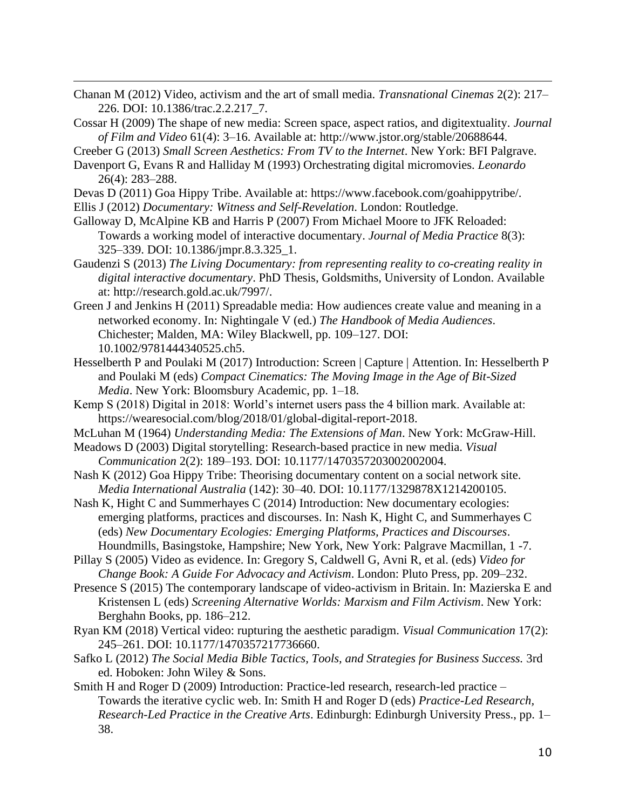- Chanan M (2012) Video, activism and the art of small media. *Transnational Cinemas* 2(2): 217– 226. DOI: 10.1386/trac.2.2.217\_7.
- Cossar H (2009) The shape of new media: Screen space, aspect ratios, and digitextuality. *Journal of Film and Video* 61(4): 3–16. Available at: http://www.jstor.org/stable/20688644.

Creeber G (2013) *Small Screen Aesthetics: From TV to the Internet*. New York: BFI Palgrave.

- Davenport G, Evans R and Halliday M (1993) Orchestrating digital micromovies. *Leonardo* 26(4): 283–288.
- Devas D (2011) Goa Hippy Tribe. Available at: https://www.facebook.com/goahippytribe/.
- Ellis J (2012) *Documentary: Witness and Self-Revelation*. London: Routledge.
- Galloway D, McAlpine KB and Harris P (2007) From Michael Moore to JFK Reloaded: Towards a working model of interactive documentary. *Journal of Media Practice* 8(3): 325–339. DOI: 10.1386/jmpr.8.3.325\_1.
- Gaudenzi S (2013) *The Living Documentary: from representing reality to co-creating reality in digital interactive documentary*. PhD Thesis, Goldsmiths, University of London. Available at: http://research.gold.ac.uk/7997/.
- Green J and Jenkins H (2011) Spreadable media: How audiences create value and meaning in a networked economy. In: Nightingale V (ed.) *The Handbook of Media Audiences*. Chichester; Malden, MA: Wiley Blackwell, pp. 109–127. DOI: 10.1002/9781444340525.ch5.
- Hesselberth P and Poulaki M (2017) Introduction: Screen | Capture | Attention. In: Hesselberth P and Poulaki M (eds) *Compact Cinematics: The Moving Image in the Age of Bit-Sized Media*. New York: Bloomsbury Academic, pp. 1–18.
- Kemp S (2018) Digital in 2018: World's internet users pass the 4 billion mark. Available at: https://wearesocial.com/blog/2018/01/global-digital-report-2018.
- McLuhan M (1964) *Understanding Media: The Extensions of Man*. New York: McGraw-Hill.
- Meadows D (2003) Digital storytelling: Research-based practice in new media. *Visual Communication* 2(2): 189–193. DOI: 10.1177/1470357203002002004.
- Nash K (2012) Goa Hippy Tribe: Theorising documentary content on a social network site. *Media International Australia* (142): 30–40. DOI: 10.1177/1329878X1214200105.
- Nash K, Hight C and Summerhayes C (2014) Introduction: New documentary ecologies: emerging platforms, practices and discourses. In: Nash K, Hight C, and Summerhayes C (eds) *New Documentary Ecologies: Emerging Platforms, Practices and Discourses*. Houndmills, Basingstoke, Hampshire; New York, New York: Palgrave Macmillan, 1 -7.
- Pillay S (2005) Video as evidence. In: Gregory S, Caldwell G, Avni R, et al. (eds) *Video for Change Book: A Guide For Advocacy and Activism*. London: Pluto Press, pp. 209–232.
- Presence S (2015) The contemporary landscape of video-activism in Britain. In: Mazierska E and Kristensen L (eds) *Screening Alternative Worlds: Marxism and Film Activism*. New York: Berghahn Books, pp. 186–212.
- Ryan KM (2018) Vertical video: rupturing the aesthetic paradigm. *Visual Communication* 17(2): 245–261. DOI: 10.1177/1470357217736660.
- Safko L (2012) *The Social Media Bible Tactics, Tools, and Strategies for Business Success.* 3rd ed. Hoboken: John Wiley & Sons.
- Smith H and Roger D (2009) Introduction: Practice-led research, research-led practice Towards the iterative cyclic web. In: Smith H and Roger D (eds) *Practice-Led Research, Research-Led Practice in the Creative Arts*. Edinburgh: Edinburgh University Press., pp. 1– 38.